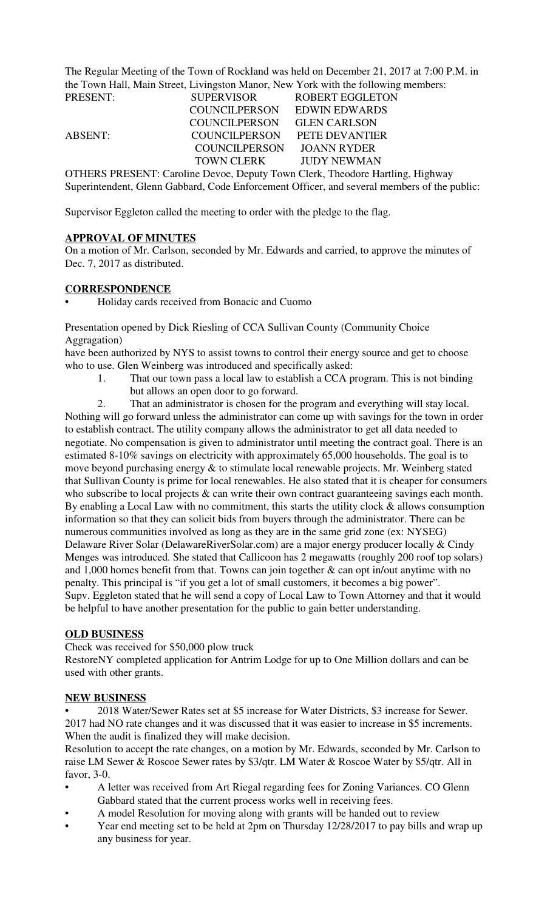The Regular Meeting of the Town of Rockland was held on December 21, 2017 at 7:00 P.M. in the Town Hall, Main Street, Livingston Manor, New York with the following members:

| PRESENT: | <b>SUPERVISOR</b>    | <b>ROBERT EGGLETON</b>                                                               |  |
|----------|----------------------|--------------------------------------------------------------------------------------|--|
|          | COUNCILPERSON        | <b>EDWIN EDWARDS</b>                                                                 |  |
|          | <b>COUNCILPERSON</b> | <b>GLEN CARLSON</b>                                                                  |  |
| ABSENT:  | COUNCILPERSON        | PETE DEVANTIER                                                                       |  |
|          | COUNCILPERSON        | <b>JOANN RYDER</b>                                                                   |  |
|          | TOWN CLERK           | <b>JUDY NEWMAN</b>                                                                   |  |
|          |                      | <b>OTHERS PRESENT: Caroline Devoe, Deputy Town Clerk, Theodore Hartling, Highway</b> |  |

Superintendent, Glenn Gabbard, Code Enforcement Officer, and several members of the public:

Supervisor Eggleton called the meeting to order with the pledge to the flag.

## **APPROVAL OF MINUTES**

On a motion of Mr. Carlson, seconded by Mr. Edwards and carried, to approve the minutes of Dec. 7, 2017 as distributed.

### **CORRESPONDENCE**

• Holiday cards received from Bonacic and Cuomo

Presentation opened by Dick Riesling of CCA Sullivan County (Community Choice Aggragation)

have been authorized by NYS to assist towns to control their energy source and get to choose who to use. Glen Weinberg was introduced and specifically asked:

1. That our town pass a local law to establish a CCA program. This is not binding but allows an open door to go forward.

2. That an administrator is chosen for the program and everything will stay local. Nothing will go forward unless the administrator can come up with savings for the town in order to establish contract. The utility company allows the administrator to get all data needed to negotiate. No compensation is given to administrator until meeting the contract goal. There is an estimated 8-10% savings on electricity with approximately 65,000 households. The goal is to move beyond purchasing energy & to stimulate local renewable projects. Mr. Weinberg stated that Sullivan County is prime for local renewables. He also stated that it is cheaper for consumers who subscribe to local projects  $\&$  can write their own contract guaranteeing savings each month. By enabling a Local Law with no commitment, this starts the utility clock  $\&$  allows consumption information so that they can solicit bids from buyers through the administrator. There can be numerous communities involved as long as they are in the same grid zone (ex: NYSEG) Delaware River Solar (DelawareRiverSolar.com) are a major energy producer locally & Cindy Menges was introduced. She stated that Callicoon has 2 megawatts (roughly 200 roof top solars) and 1,000 homes benefit from that. Towns can join together & can opt in/out anytime with no penalty. This principal is "if you get a lot of small customers, it becomes a big power". Supv. Eggleton stated that he will send a copy of Local Law to Town Attorney and that it would be helpful to have another presentation for the public to gain better understanding.

## **OLD BUSINESS**

Check was received for \$50,000 plow truck

RestoreNY completed application for Antrim Lodge for up to One Million dollars and can be used with other grants.

### **NEW BUSINESS**

• 2018 Water/Sewer Rates set at \$5 increase for Water Districts, \$3 increase for Sewer. 2017 had NO rate changes and it was discussed that it was easier to increase in \$5 increments. When the audit is finalized they will make decision.

Resolution to accept the rate changes, on a motion by Mr. Edwards, seconded by Mr. Carlson to raise LM Sewer & Roscoe Sewer rates by \$3/qtr. LM Water & Roscoe Water by \$5/qtr. All in favor, 3-0.

- A letter was received from Art Riegal regarding fees for Zoning Variances. CO Glenn Gabbard stated that the current process works well in receiving fees.
- A model Resolution for moving along with grants will be handed out to review
- Year end meeting set to be held at 2pm on Thursday 12/28/2017 to pay bills and wrap up any business for year.